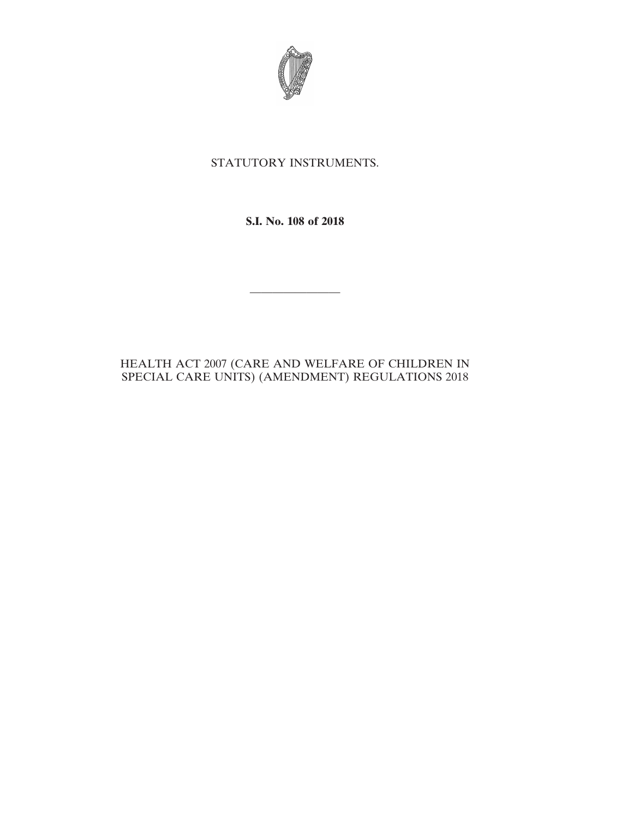

## STATUTORY INSTRUMENTS.

**S.I. No. 108 of 2018**

————————

## HEALTH ACT 2007 (CARE AND WELFARE OF CHILDREN IN SPECIAL CARE UNITS) (AMENDMENT) REGULATIONS 2018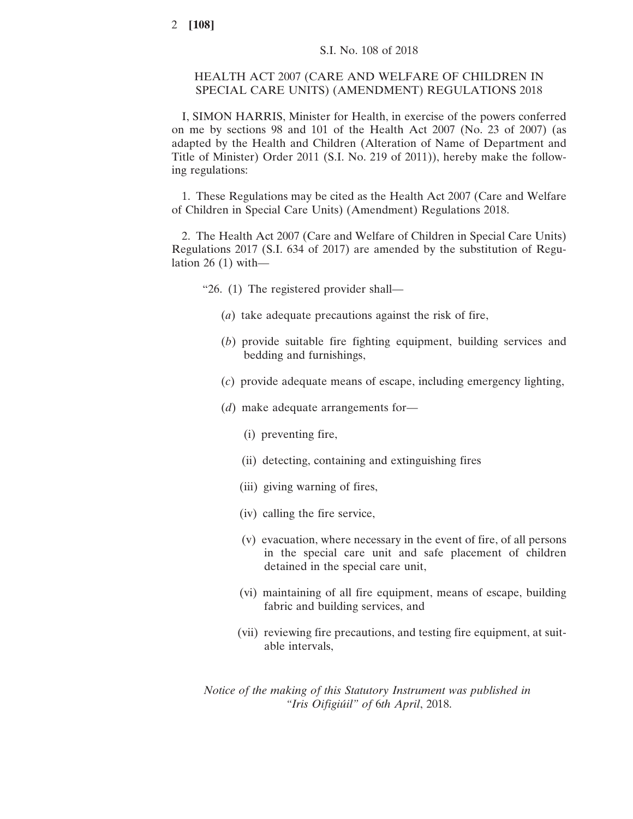## HEALTH ACT 2007 (CARE AND WELFARE OF CHILDREN IN SPECIAL CARE UNITS) (AMENDMENT) REGULATIONS 2018

I, SIMON HARRIS, Minister for Health, in exercise of the powers conferred on me by sections 98 and 101 of the Health Act 2007 (No. 23 of 2007) (as adapted by the Health and Children (Alteration of Name of Department and Title of Minister) Order 2011 (S.I. No. 219 of 2011)), hereby make the following regulations:

1. These Regulations may be cited as the Health Act 2007 (Care and Welfare of Children in Special Care Units) (Amendment) Regulations 2018.

2. The Health Act 2007 (Care and Welfare of Children in Special Care Units) Regulations 2017 (S.I. 634 of 2017) are amended by the substitution of Regulation  $26(1)$  with-

"26. (1) The registered provider shall—

- (*a*) take adequate precautions against the risk of fire,
- (*b*) provide suitable fire fighting equipment, building services and bedding and furnishings,
- (*c*) provide adequate means of escape, including emergency lighting,
- (*d*) make adequate arrangements for—
	- (i) preventing fire,
	- (ii) detecting, containing and extinguishing fires
	- (iii) giving warning of fires,
	- (iv) calling the fire service,
	- (v) evacuation, where necessary in the event of fire, of all persons in the special care unit and safe placement of children detained in the special care unit,
	- (vi) maintaining of all fire equipment, means of escape, building fabric and building services, and
	- (vii) reviewing fire precautions, and testing fire equipment, at suitable intervals,

*Notice of the making of this Statutory Instrument was published in "Iris Oifigiúil" of* 6*th April*, 2018.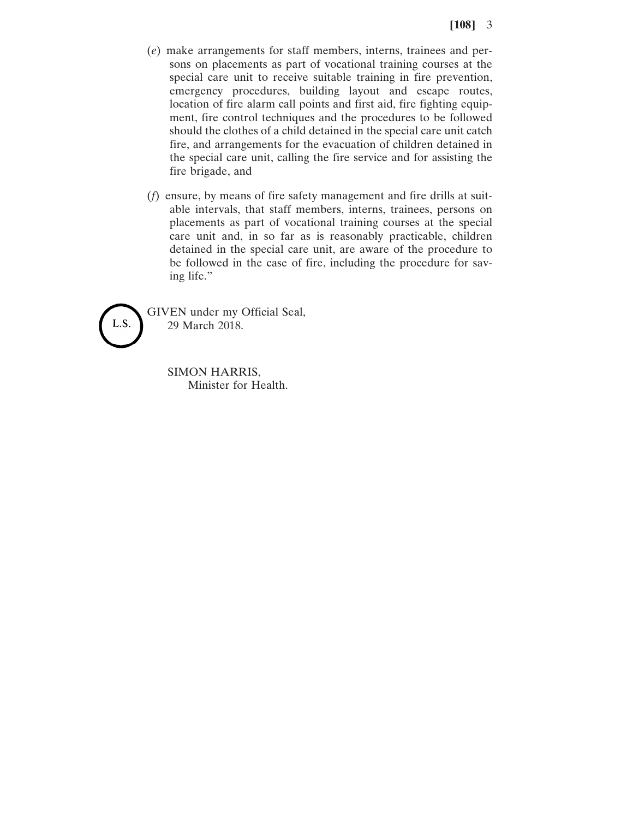- (*e*) make arrangements for staff members, interns, trainees and persons on placements as part of vocational training courses at the special care unit to receive suitable training in fire prevention, emergency procedures, building layout and escape routes, location of fire alarm call points and first aid, fire fighting equipment, fire control techniques and the procedures to be followed should the clothes of a child detained in the special care unit catch fire, and arrangements for the evacuation of children detained in the special care unit, calling the fire service and for assisting the fire brigade, and
- (*f*) ensure, by means of fire safety management and fire drills at suitable intervals, that staff members, interns, trainees, persons on placements as part of vocational training courses at the special care unit and, in so far as is reasonably practicable, children detained in the special care unit, are aware of the procedure to be followed in the case of fire, including the procedure for saving life."



GIVEN under my Official Seal, 29 March 2018.

> SIMON HARRIS, Minister for Health.